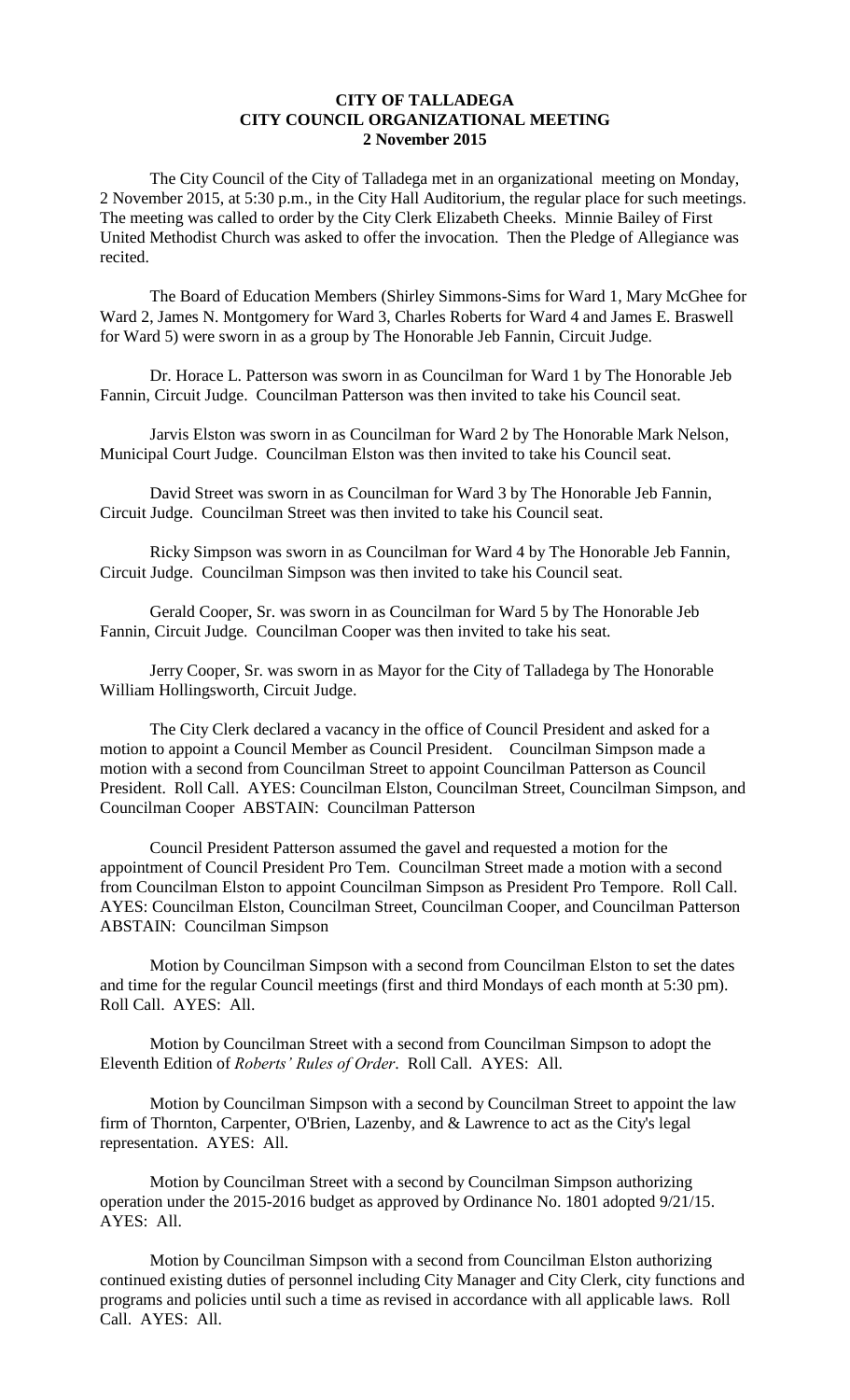## **CITY OF TALLADEGA CITY COUNCIL ORGANIZATIONAL MEETING 2 November 2015**

The City Council of the City of Talladega met in an organizational meeting on Monday, 2 November 2015, at 5:30 p.m., in the City Hall Auditorium, the regular place for such meetings. The meeting was called to order by the City Clerk Elizabeth Cheeks. Minnie Bailey of First United Methodist Church was asked to offer the invocation. Then the Pledge of Allegiance was recited.

The Board of Education Members (Shirley Simmons-Sims for Ward 1, Mary McGhee for Ward 2, James N. Montgomery for Ward 3, Charles Roberts for Ward 4 and James E. Braswell for Ward 5) were sworn in as a group by The Honorable Jeb Fannin, Circuit Judge.

Dr. Horace L. Patterson was sworn in as Councilman for Ward 1 by The Honorable Jeb Fannin, Circuit Judge. Councilman Patterson was then invited to take his Council seat.

Jarvis Elston was sworn in as Councilman for Ward 2 by The Honorable Mark Nelson, Municipal Court Judge. Councilman Elston was then invited to take his Council seat.

David Street was sworn in as Councilman for Ward 3 by The Honorable Jeb Fannin, Circuit Judge. Councilman Street was then invited to take his Council seat.

Ricky Simpson was sworn in as Councilman for Ward 4 by The Honorable Jeb Fannin, Circuit Judge. Councilman Simpson was then invited to take his Council seat.

Gerald Cooper, Sr. was sworn in as Councilman for Ward 5 by The Honorable Jeb Fannin, Circuit Judge. Councilman Cooper was then invited to take his seat.

Jerry Cooper, Sr. was sworn in as Mayor for the City of Talladega by The Honorable William Hollingsworth, Circuit Judge.

The City Clerk declared a vacancy in the office of Council President and asked for a motion to appoint a Council Member as Council President. Councilman Simpson made a motion with a second from Councilman Street to appoint Councilman Patterson as Council President. Roll Call. AYES: Councilman Elston, Councilman Street, Councilman Simpson, and Councilman Cooper ABSTAIN: Councilman Patterson

Council President Patterson assumed the gavel and requested a motion for the appointment of Council President Pro Tem. Councilman Street made a motion with a second from Councilman Elston to appoint Councilman Simpson as President Pro Tempore. Roll Call. AYES: Councilman Elston, Councilman Street, Councilman Cooper, and Councilman Patterson ABSTAIN: Councilman Simpson

Motion by Councilman Simpson with a second from Councilman Elston to set the dates and time for the regular Council meetings (first and third Mondays of each month at 5:30 pm). Roll Call. AYES: All.

Motion by Councilman Street with a second from Councilman Simpson to adopt the Eleventh Edition of *Roberts' Rules of Order*. Roll Call. AYES: All.

Motion by Councilman Simpson with a second by Councilman Street to appoint the law firm of Thornton, Carpenter, O'Brien, Lazenby, and & Lawrence to act as the City's legal representation. AYES: All.

Motion by Councilman Street with a second by Councilman Simpson authorizing operation under the 2015-2016 budget as approved by Ordinance No. 1801 adopted 9/21/15. AYES: All.

Motion by Councilman Simpson with a second from Councilman Elston authorizing continued existing duties of personnel including City Manager and City Clerk, city functions and programs and policies until such a time as revised in accordance with all applicable laws. Roll Call. AYES: All.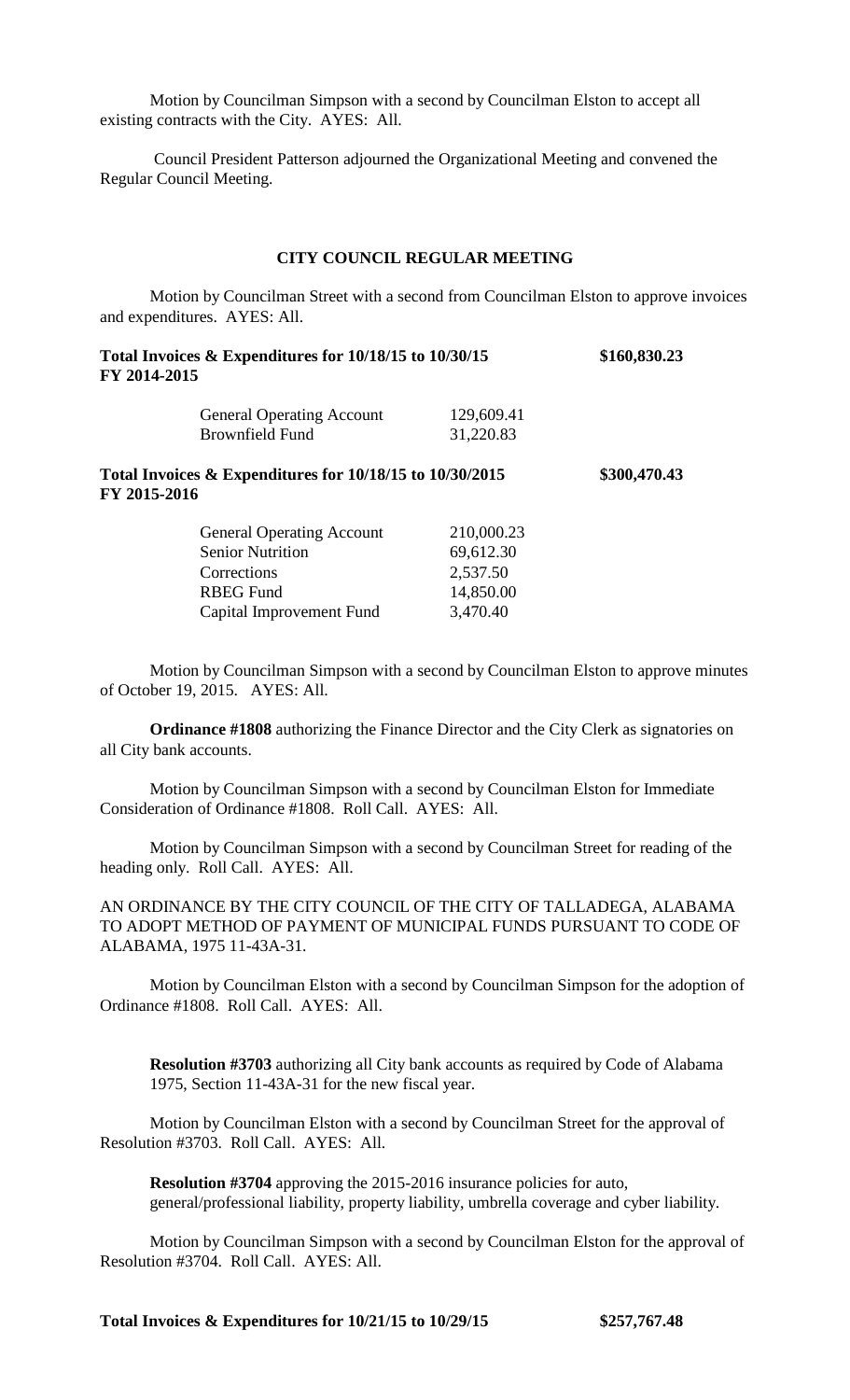Motion by Councilman Simpson with a second by Councilman Elston to accept all existing contracts with the City. AYES: All.

Council President Patterson adjourned the Organizational Meeting and convened the Regular Council Meeting.

#### **CITY COUNCIL REGULAR MEETING**

Motion by Councilman Street with a second from Councilman Elston to approve invoices and expenditures. AYES: All.

**Total Invoices & Expenditures for 10/18/15 to 10/30/15 \$160,830.23 FY 2014-2015**

| <b>General Operating Account</b> | 129,609.41 |
|----------------------------------|------------|
| Brownfield Fund                  | 31,220.83  |

**Total Invoices & Expenditures for 10/18/15 to 10/30/2015 \$300,470.43 FY 2015-2016**

| <b>General Operating Account</b> | 210,000.23 |
|----------------------------------|------------|
| <b>Senior Nutrition</b>          | 69,612.30  |
| Corrections                      | 2,537.50   |
| <b>RBEG</b> Fund                 | 14,850.00  |
| Capital Improvement Fund         | 3,470.40   |

Motion by Councilman Simpson with a second by Councilman Elston to approve minutes of October 19, 2015. AYES: All.

**Ordinance #1808** authorizing the Finance Director and the City Clerk as signatories on all City bank accounts.

Motion by Councilman Simpson with a second by Councilman Elston for Immediate Consideration of Ordinance #1808. Roll Call. AYES: All.

Motion by Councilman Simpson with a second by Councilman Street for reading of the heading only. Roll Call. AYES: All.

AN ORDINANCE BY THE CITY COUNCIL OF THE CITY OF TALLADEGA, ALABAMA TO ADOPT METHOD OF PAYMENT OF MUNICIPAL FUNDS PURSUANT TO CODE OF ALABAMA, 1975 11-43A-31.

Motion by Councilman Elston with a second by Councilman Simpson for the adoption of Ordinance #1808. Roll Call. AYES: All.

**Resolution #3703** authorizing all City bank accounts as required by Code of Alabama 1975, Section 11-43A-31 for the new fiscal year.

Motion by Councilman Elston with a second by Councilman Street for the approval of Resolution #3703. Roll Call. AYES: All.

**Resolution #3704** approving the 2015-2016 insurance policies for auto, general/professional liability, property liability, umbrella coverage and cyber liability.

Motion by Councilman Simpson with a second by Councilman Elston for the approval of Resolution #3704. Roll Call. AYES: All.

**Total Invoices & Expenditures for 10/21/15 to 10/29/15 \$257,767.48**